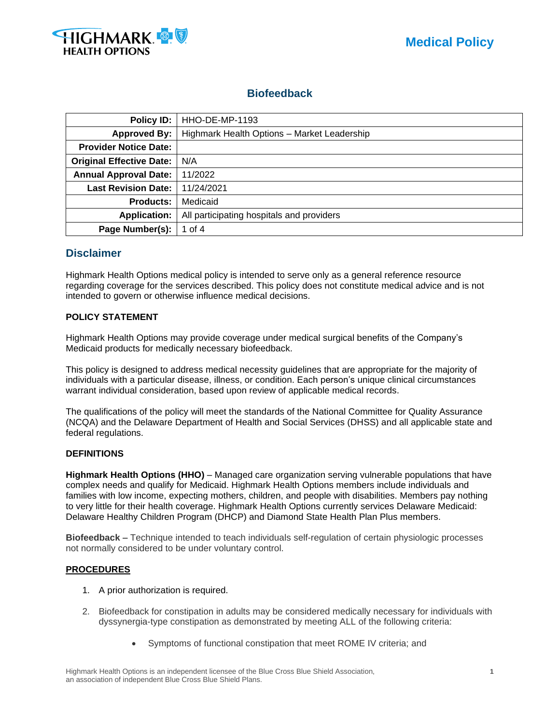

# **Biofeedback**

| Policy ID:                      | HHO-DE-MP-1193                              |  |  |  |  |
|---------------------------------|---------------------------------------------|--|--|--|--|
| <b>Approved By:</b>             | Highmark Health Options - Market Leadership |  |  |  |  |
| <b>Provider Notice Date:</b>    |                                             |  |  |  |  |
| <b>Original Effective Date:</b> | N/A                                         |  |  |  |  |
| <b>Annual Approval Date:</b>    | 11/2022                                     |  |  |  |  |
| <b>Last Revision Date:</b>      | 11/24/2021                                  |  |  |  |  |
| <b>Products:</b>                | Medicaid                                    |  |  |  |  |
| <b>Application:</b>             | All participating hospitals and providers   |  |  |  |  |
| Page Number(s):                 | 1 of 4                                      |  |  |  |  |

## **Disclaimer**

Highmark Health Options medical policy is intended to serve only as a general reference resource regarding coverage for the services described. This policy does not constitute medical advice and is not intended to govern or otherwise influence medical decisions.

## **POLICY STATEMENT**

Highmark Health Options may provide coverage under medical surgical benefits of the Company's Medicaid products for medically necessary biofeedback.

This policy is designed to address medical necessity guidelines that are appropriate for the majority of individuals with a particular disease, illness, or condition. Each person's unique clinical circumstances warrant individual consideration, based upon review of applicable medical records.

The qualifications of the policy will meet the standards of the National Committee for Quality Assurance (NCQA) and the Delaware Department of Health and Social Services (DHSS) and all applicable state and federal regulations.

#### **DEFINITIONS**

**Highmark Health Options (HHO)** – Managed care organization serving vulnerable populations that have complex needs and qualify for Medicaid. Highmark Health Options members include individuals and families with low income, expecting mothers, children, and people with disabilities. Members pay nothing to very little for their health coverage. Highmark Health Options currently services Delaware Medicaid: Delaware Healthy Children Program (DHCP) and Diamond State Health Plan Plus members.

**Biofeedback** – Technique intended to teach individuals self-regulation of certain physiologic processes not normally considered to be under voluntary control.

#### **PROCEDURES**

- 1. A prior authorization is required.
- 2. Biofeedback for constipation in adults may be considered medically necessary for individuals with dyssynergia-type constipation as demonstrated by meeting ALL of the following criteria:
	- Symptoms of functional constipation that meet ROME IV criteria; and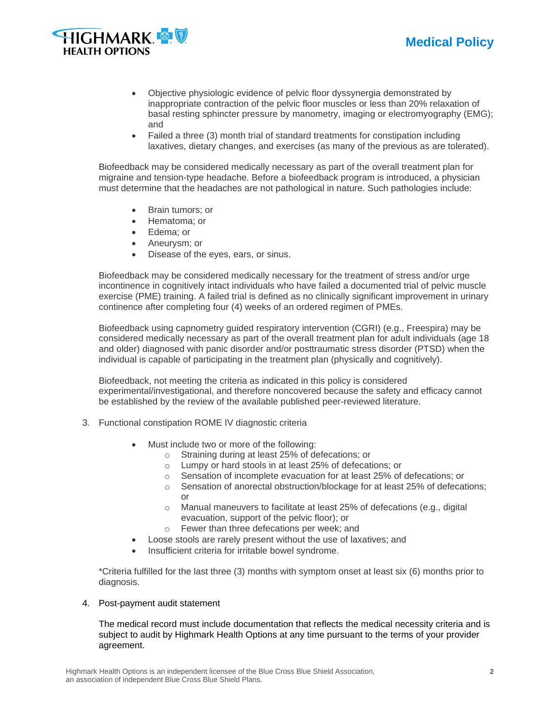



- Objective physiologic evidence of pelvic floor dyssynergia demonstrated by inappropriate contraction of the pelvic floor muscles or less than 20% relaxation of basal resting sphincter pressure by manometry, imaging or electromyography (EMG); and
- Failed a three (3) month trial of standard treatments for constipation including laxatives, dietary changes, and exercises (as many of the previous as are tolerated).

Biofeedback may be considered medically necessary as part of the overall treatment plan for migraine and tension-type headache. Before a biofeedback program is introduced, a physician must determine that the headaches are not pathological in nature. Such pathologies include:

- Brain tumors; or
- Hematoma; or
- Edema; or
- Aneurysm; or
- Disease of the eyes, ears, or sinus.

Biofeedback may be considered medically necessary for the treatment of stress and/or urge incontinence in cognitively intact individuals who have failed a documented trial of pelvic muscle exercise (PME) training. A failed trial is defined as no clinically significant improvement in urinary continence after completing four (4) weeks of an ordered regimen of PMEs.

Biofeedback using capnometry guided respiratory intervention (CGRI) (e.g., Freespira) may be considered medically necessary as part of the overall treatment plan for adult individuals (age 18 and older) diagnosed with panic disorder and/or posttraumatic stress disorder (PTSD) when the individual is capable of participating in the treatment plan (physically and cognitively).

Biofeedback, not meeting the criteria as indicated in this policy is considered experimental/investigational, and therefore noncovered because the safety and efficacy cannot be established by the review of the available published peer-reviewed literature.

- 3. Functional constipation ROME IV diagnostic criteria
	- Must include two or more of the following:
		- o Straining during at least 25% of defecations; or
		- o Lumpy or hard stools in at least 25% of defecations; or
		- o Sensation of incomplete evacuation for at least 25% of defecations; or
		- o Sensation of anorectal obstruction/blockage for at least 25% of defecations; or
		- o Manual maneuvers to facilitate at least 25% of defecations (e.g., digital evacuation, support of the pelvic floor); or
		- o Fewer than three defecations per week; and
		- Loose stools are rarely present without the use of laxatives; and
	- Insufficient criteria for irritable bowel syndrome.

\*Criteria fulfilled for the last three (3) months with symptom onset at least six (6) months prior to diagnosis.

#### 4. Post-payment audit statement

The medical record must include documentation that reflects the medical necessity criteria and is subject to audit by Highmark Health Options at any time pursuant to the terms of your provider agreement.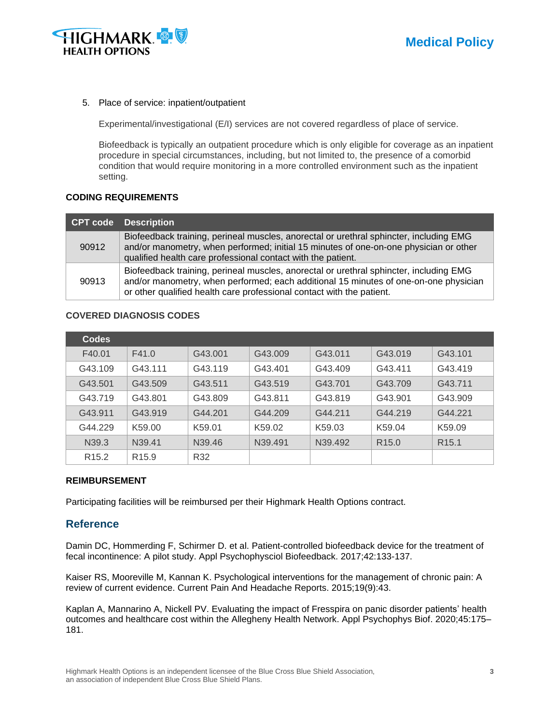

#### 5. Place of service: inpatient/outpatient

Experimental/investigational (E/I) services are not covered regardless of place of service.

Biofeedback is typically an outpatient procedure which is only eligible for coverage as an inpatient procedure in special circumstances, including, but not limited to, the presence of a comorbid condition that would require monitoring in a more controlled environment such as the inpatient setting.

#### **CODING REQUIREMENTS**

|       | CPT code Description                                                                                                                                                                                                                                    |
|-------|---------------------------------------------------------------------------------------------------------------------------------------------------------------------------------------------------------------------------------------------------------|
| 90912 | Biofeedback training, perineal muscles, anorectal or urethral sphincter, including EMG<br>and/or manometry, when performed; initial 15 minutes of one-on-one physician or other<br>qualified health care professional contact with the patient.         |
| 90913 | Biofeedback training, perineal muscles, anorectal or urethral sphincter, including EMG<br>and/or manometry, when performed; each additional 15 minutes of one-on-one physician<br>or other qualified health care professional contact with the patient. |

## **COVERED DIAGNOSIS CODES**

| <b>Codes</b>      |                    |                    |                    |         |                   |                   |
|-------------------|--------------------|--------------------|--------------------|---------|-------------------|-------------------|
| F40.01            | F41.0              | G43.001            | G43.009            | G43.011 | G43.019           | G43.101           |
| G43.109           | G43.111            | G43.119            | G43.401            | G43.409 | G43.411           | G43.419           |
| G43.501           | G43.509            | G43.511            | G43.519            | G43.701 | G43.709           | G43.711           |
| G43.719           | G43.801            | G43.809            | G43.811            | G43.819 | G43.901           | G43.909           |
| G43.911           | G43.919            | G44.201            | G44.209            | G44.211 | G44.219           | G44.221           |
| G44.229           | K59.00             | K59.01             | K <sub>59.02</sub> | K59.03  | K59.04            | K59.09            |
| N <sub>39.3</sub> | N <sub>39.41</sub> | N <sub>39.46</sub> | N39.491            | N39.492 | R <sub>15.0</sub> | R <sub>15.1</sub> |
| R <sub>15.2</sub> | R <sub>15.9</sub>  | R32                |                    |         |                   |                   |

#### **REIMBURSEMENT**

Participating facilities will be reimbursed per their Highmark Health Options contract.

## **Reference**

Damin DC, Hommerding F, Schirmer D. et al. Patient-controlled biofeedback device for the treatment of fecal incontinence: A pilot study. Appl Psychophysciol Biofeedback. 2017;42:133-137.

Kaiser RS, Mooreville M, Kannan K. Psychological interventions for the management of chronic pain: A review of current evidence. Current Pain And Headache Reports. 2015;19(9):43.

Kaplan A, Mannarino A, Nickell PV. Evaluating the impact of Fresspira on panic disorder patients' health outcomes and healthcare cost within the Allegheny Health Network. Appl Psychophys Biof. 2020;45:175– 181.